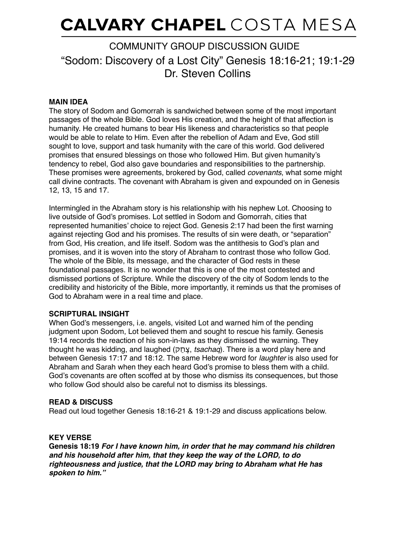# **CALVARY CHAPEL** COSTA MESA

# "Sodom: Discovery of a Lost City" Genesis 18:16-21; 19:1-29 Dr. Steven Collins COMMUNITY GROUP DISCUSSION GUIDE

# **MAIN IDEA**

The story of Sodom and Gomorrah is sandwiched between some of the most important passages of the whole Bible. God loves His creation, and the height of that affection is humanity. He created humans to bear His likeness and characteristics so that people would be able to relate to Him. Even after the rebellion of Adam and Eve, God still sought to love, support and task humanity with the care of this world. God delivered promises that ensured blessings on those who followed Him. But given humanity's tendency to rebel, God also gave boundaries and responsibilities to the partnership. These promises were agreements, brokered by God, called *covenants*, what some might call divine contracts. The covenant with Abraham is given and expounded on in Genesis 12, 13, 15 and 17.

Intermingled in the Abraham story is his relationship with his nephew Lot. Choosing to live outside of God's promises. Lot settled in Sodom and Gomorrah, cities that represented humanities' choice to reject God. Genesis 2:17 had been the first warning against rejecting God and his promises. The results of sin were death, or "separation" from God, His creation, and life itself. Sodom was the antithesis to God's plan and promises, and it is woven into the story of Abraham to contrast those who follow God. The whole of the Bible, its message, and the character of God rests in these foundational passages. It is no wonder that this is one of the most contested and dismissed portions of Scripture. While the discovery of the city of Sodom lends to the credibility and historicity of the Bible, more importantly, it reminds us that the promises of God to Abraham were in a real time and place.

### **SCRIPTURAL INSIGHT**

When God's messengers, i.e. angels, visited Lot and warned him of the pending judgment upon Sodom, Lot believed them and sought to rescue his family. Genesis 19:14 records the reaction of his son-in-laws as they dismissed the warning. They thought he was kidding, and laughed (קַחָצ, *tsachaq*). There is a word play here and between Genesis 17:17 and 18:12. The same Hebrew word for *laughter* is also used for Abraham and Sarah when they each heard God's promise to bless them with a child. God's covenants are often scoffed at by those who dismiss its consequences, but those who follow God should also be careful not to dismiss its blessings.

### **READ & DISCUSS**

Read out loud together Genesis 18:16-21 & 19:1-29 and discuss applications below.

# **KEY VERSE**

**Genesis 18:19** *For I have known him, in order that he may command his children and his household after him, that they keep the way of the LORD, to do righteousness and justice, that the LORD may bring to Abraham what He has spoken to him."*